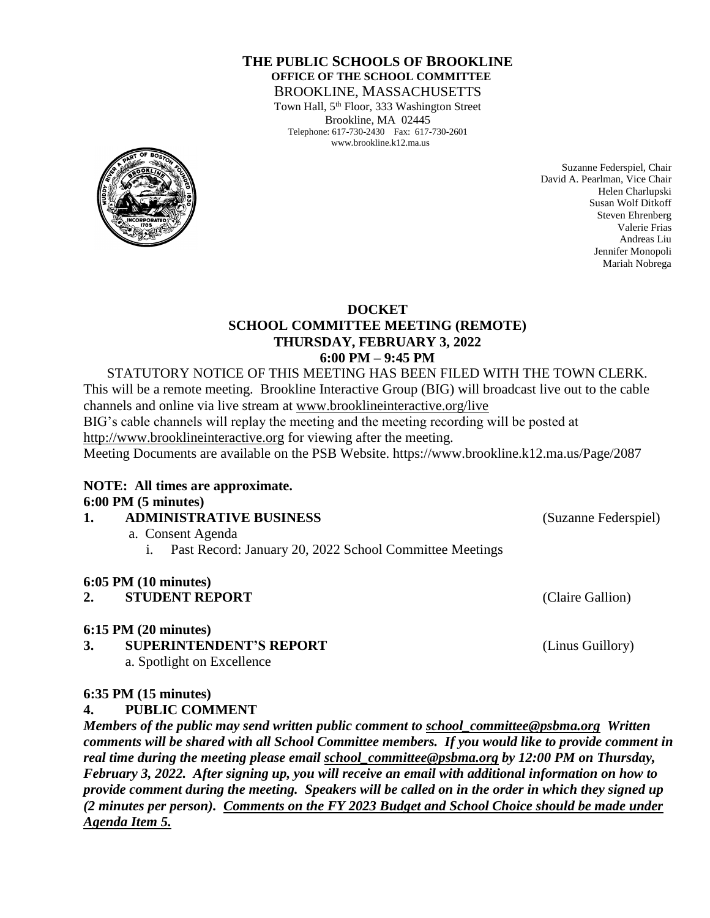#### **THE PUBLIC SCHOOLS OF BROOKLINE OFFICE OF THE SCHOOL COMMITTEE** BROOKLINE, MASSACHUSETTS

Town Hall, 5<sup>th</sup> Floor, 333 Washington Street Brookline, MA 02445 Telephone: 617-730-2430 Fax: 617-730-2601 www.brookline.k12.ma.us



Suzanne Federspiel, Chair David A. Pearlman, Vice Chair Helen Charlupski Susan Wolf Ditkoff Steven Ehrenberg Valerie Frias Andreas Liu Jennifer Monopoli Mariah Nobrega

#### **DOCKET SCHOOL COMMITTEE MEETING (REMOTE) THURSDAY, FEBRUARY 3, 2022 6:00 PM – 9:45 PM**

STATUTORY NOTICE OF THIS MEETING HAS BEEN FILED WITH THE TOWN CLERK. This will be a remote meeting. Brookline Interactive Group (BIG) will broadcast live out to the cable channels and online via live stream at [www.brooklineinteractive.org/live](https://protect-us.mimecast.com/s/nSb0CG6Q8xuLqW1DHYBFG-?domain=brooklineinteractive.org) BIG's cable channels will replay the meeting and the meeting recording will be posted at [http://www.brooklineinteractive.org](https://protect-us.mimecast.com/s/ziZBCER6xvc6nngoFwrIh2?domain=brooklineinteractive.org) for viewing after the meeting. Meeting Documents are available on the PSB Website. https://www.brookline.k12.ma.us/Page/2087

### **NOTE: All times are approximate. 6:00 PM (5 minutes)**

#### **1. ADMINISTRATIVE BUSINESS** (Suzanne Federspiel) a. Consent Agenda i. Past Record: January 20, 2022 School Committee Meetings

# **6:05 PM (10 minutes)**

# **2. STUDENT REPORT** (Claire Gallion)

#### **6:15 PM (20 minutes)**

**3. SUPERINTENDENT'S REPORT** (Linus Guillory) a. Spotlight on Excellence

#### **6:35 PM (15 minutes)**

**4. PUBLIC COMMENT**

*Members of the public may send written public comment to [school\\_committee@psbma.org](mailto:school_committee@psbma.org) Written comments will be shared with all School Committee members. If you would like to provide comment in real time during the meeting please email [school\\_committee@psbma.org](mailto:school_committee@psbma.org) by 12:00 PM on Thursday, February 3, 2022. After signing up, you will receive an email with additional information on how to provide comment during the meeting. Speakers will be called on in the order in which they signed up (2 minutes per person). Comments on the FY 2023 Budget and School Choice should be made under Agenda Item 5.*